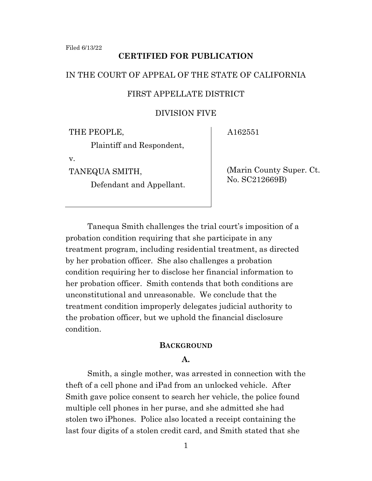## **CERTIFIED FOR PUBLICATION**

## IN THE COURT OF APPEAL OF THE STATE OF CALIFORNIA

## FIRST APPELLATE DISTRICT

#### DIVISION FIVE

THE PEOPLE,

A162551

Plaintiff and Respondent,

v.

TANEQUA SMITH,

Defendant and Appellant.

(Marin County Super. Ct. No. SC212669B)

Tanequa Smith challenges the trial court's imposition of a probation condition requiring that she participate in any treatment program, including residential treatment, as directed by her probation officer. She also challenges a probation condition requiring her to disclose her financial information to her probation officer. Smith contends that both conditions are unconstitutional and unreasonable. We conclude that the treatment condition improperly delegates judicial authority to the probation officer, but we uphold the financial disclosure condition.

## **BACKGROUND**

#### **A.**

Smith, a single mother, was arrested in connection with the theft of a cell phone and iPad from an unlocked vehicle. After Smith gave police consent to search her vehicle, the police found multiple cell phones in her purse, and she admitted she had stolen two iPhones. Police also located a receipt containing the last four digits of a stolen credit card, and Smith stated that she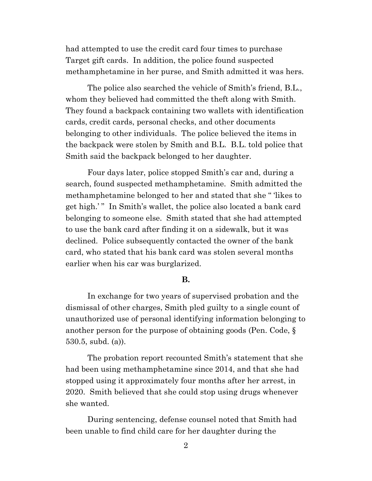had attempted to use the credit card four times to purchase Target gift cards. In addition, the police found suspected methamphetamine in her purse, and Smith admitted it was hers.

The police also searched the vehicle of Smith's friend, B.L., whom they believed had committed the theft along with Smith. They found a backpack containing two wallets with identification cards, credit cards, personal checks, and other documents belonging to other individuals. The police believed the items in the backpack were stolen by Smith and B.L. B.L. told police that Smith said the backpack belonged to her daughter.

Four days later, police stopped Smith's car and, during a search, found suspected methamphetamine. Smith admitted the methamphetamine belonged to her and stated that she " 'likes to get high.' " In Smith's wallet, the police also located a bank card belonging to someone else. Smith stated that she had attempted to use the bank card after finding it on a sidewalk, but it was declined. Police subsequently contacted the owner of the bank card, who stated that his bank card was stolen several months earlier when his car was burglarized.

## **B.**

In exchange for two years of supervised probation and the dismissal of other charges, Smith pled guilty to a single count of unauthorized use of personal identifying information belonging to another person for the purpose of obtaining goods (Pen. Code, § 530.5, subd. (a)).

The probation report recounted Smith's statement that she had been using methamphetamine since 2014, and that she had stopped using it approximately four months after her arrest, in 2020. Smith believed that she could stop using drugs whenever she wanted.

During sentencing, defense counsel noted that Smith had been unable to find child care for her daughter during the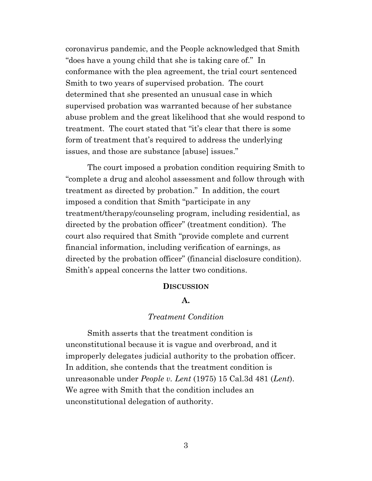coronavirus pandemic, and the People acknowledged that Smith "does have a young child that she is taking care of." In conformance with the plea agreement, the trial court sentenced Smith to two years of supervised probation. The court determined that she presented an unusual case in which supervised probation was warranted because of her substance abuse problem and the great likelihood that she would respond to treatment. The court stated that "it's clear that there is some form of treatment that's required to address the underlying issues, and those are substance [abuse] issues."

The court imposed a probation condition requiring Smith to "complete a drug and alcohol assessment and follow through with treatment as directed by probation." In addition, the court imposed a condition that Smith "participate in any treatment/therapy/counseling program, including residential, as directed by the probation officer" (treatment condition). The court also required that Smith "provide complete and current financial information, including verification of earnings, as directed by the probation officer" (financial disclosure condition). Smith's appeal concerns the latter two conditions.

#### **DISCUSSION**

## **A.**

## *Treatment Condition*

 Smith asserts that the treatment condition is unconstitutional because it is vague and overbroad, and it improperly delegates judicial authority to the probation officer. In addition, she contends that the treatment condition is unreasonable under *People v. Lent* (1975) 15 Cal.3d 481 (*Lent*). We agree with Smith that the condition includes an unconstitutional delegation of authority.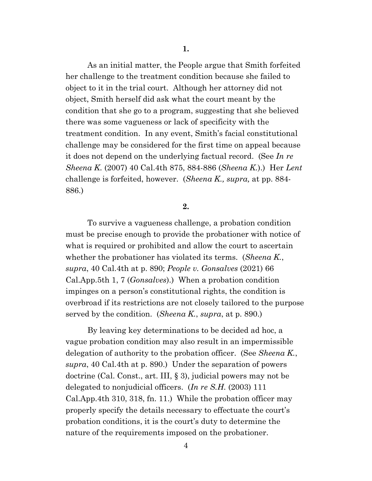As an initial matter, the People argue that Smith forfeited her challenge to the treatment condition because she failed to object to it in the trial court. Although her attorney did not object, Smith herself did ask what the court meant by the condition that she go to a program, suggesting that she believed there was some vagueness or lack of specificity with the treatment condition. In any event, Smith's facial constitutional challenge may be considered for the first time on appeal because it does not depend on the underlying factual record. (See *In re Sheena K.* (2007) 40 Cal.4th 875, 884-886 (*Sheena K.*).) Her *Lent* challenge is forfeited, however. (*Sheena K., supra,* at pp. 884- 886.)

**2.** 

 To survive a vagueness challenge, a probation condition must be precise enough to provide the probationer with notice of what is required or prohibited and allow the court to ascertain whether the probationer has violated its terms. (*Sheena K.*, *supra*, 40 Cal.4th at p. 890; *People v. Gonsalves* (2021) 66 Cal.App.5th 1, 7 (*Gonsalves*).) When a probation condition impinges on a person's constitutional rights, the condition is overbroad if its restrictions are not closely tailored to the purpose served by the condition. (*Sheena K.*, *supra*, at p. 890.)

By leaving key determinations to be decided ad hoc, a vague probation condition may also result in an impermissible delegation of authority to the probation officer. (See *Sheena K.*, *supra*, 40 Cal.4th at p. 890.) Under the separation of powers doctrine (Cal. Const., art. III, § 3), judicial powers may not be delegated to nonjudicial officers. (*In re S.H.* (2003) 111 Cal.App.4th 310, 318, fn. 11.) While the probation officer may properly specify the details necessary to effectuate the court's probation conditions, it is the court's duty to determine the nature of the requirements imposed on the probationer.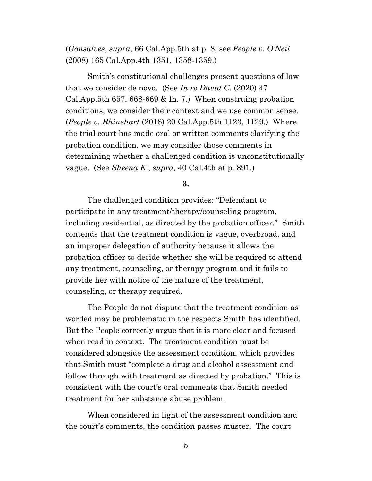(*Gonsalves, supra*, 66 Cal.App.5th at p. 8; see *People v. O'Neil*  (2008) 165 Cal.App.4th 1351, 1358-1359.)

Smith's constitutional challenges present questions of law that we consider de novo. (See *In re David C.* (2020) 47 Cal.App.5th 657, 668-669  $&$  fn. 7.) When construing probation conditions, we consider their context and we use common sense. (*People v. Rhinehart* (2018) 20 Cal.App.5th 1123, 1129.) Where the trial court has made oral or written comments clarifying the probation condition, we may consider those comments in determining whether a challenged condition is unconstitutionally vague. (See *Sheena K.*, *supra*, 40 Cal.4th at p. 891.)

**3.** 

 The challenged condition provides: "Defendant to participate in any treatment/therapy/counseling program, including residential, as directed by the probation officer." Smith contends that the treatment condition is vague, overbroad, and an improper delegation of authority because it allows the probation officer to decide whether she will be required to attend any treatment, counseling, or therapy program and it fails to provide her with notice of the nature of the treatment, counseling, or therapy required.

The People do not dispute that the treatment condition as worded may be problematic in the respects Smith has identified. But the People correctly argue that it is more clear and focused when read in context. The treatment condition must be considered alongside the assessment condition, which provides that Smith must "complete a drug and alcohol assessment and follow through with treatment as directed by probation." This is consistent with the court's oral comments that Smith needed treatment for her substance abuse problem.

When considered in light of the assessment condition and the court's comments, the condition passes muster. The court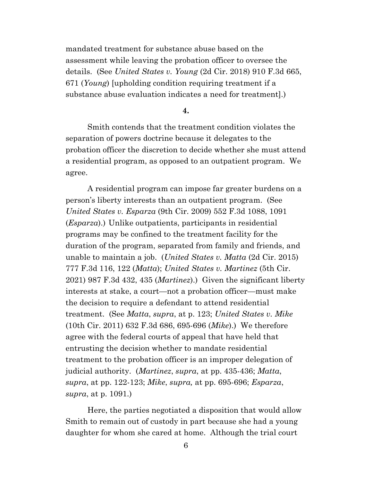mandated treatment for substance abuse based on the assessment while leaving the probation officer to oversee the details. (See *United States v. Young* (2d Cir. 2018) 910 F.3d 665, 671 (*Young*) [upholding condition requiring treatment if a substance abuse evaluation indicates a need for treatment].)

**4.** 

Smith contends that the treatment condition violates the separation of powers doctrine because it delegates to the probation officer the discretion to decide whether she must attend a residential program, as opposed to an outpatient program. We agree.

A residential program can impose far greater burdens on a person's liberty interests than an outpatient program. (See *United States v. Esparza* (9th Cir. 2009) 552 F.3d 1088, 1091 (*Esparza*).) Unlike outpatients, participants in residential programs may be confined to the treatment facility for the duration of the program, separated from family and friends, and unable to maintain a job. (*United States v. Matta* (2d Cir. 2015) 777 F.3d 116, 122 (*Matta*); *United States v. Martinez* (5th Cir. 2021) 987 F.3d 432, 435 (*Martinez*).) Given the significant liberty interests at stake, a court—not a probation officer—must make the decision to require a defendant to attend residential treatment. (See *Matta*, *supra*, at p. 123; *United States v. Mike* (10th Cir. 2011) 632 F.3d 686, 695-696 (*Mike*).) We therefore agree with the federal courts of appeal that have held that entrusting the decision whether to mandate residential treatment to the probation officer is an improper delegation of judicial authority. (*Martinez*, *supra*, at pp. 435-436; *Matta*, *supra*, at pp. 122-123; *Mike*, *supra,* at pp. 695-696; *Esparza*, *supra*, at p. 1091.)

Here, the parties negotiated a disposition that would allow Smith to remain out of custody in part because she had a young daughter for whom she cared at home. Although the trial court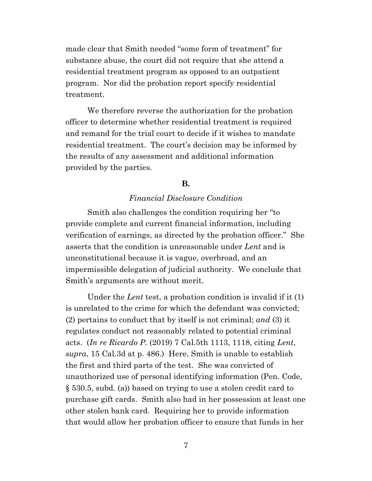made clear that Smith needed "some form of treatment" for substance abuse, the court did not require that she attend a residential treatment program as opposed to an outpatient program. Nor did the probation report specify residential treatment.

We therefore reverse the authorization for the probation officer to determine whether residential treatment is required and remand for the trial court to decide if it wishes to mandate residential treatment. The court's decision may be informed by the results of any assessment and additional information provided by the parties.

## **B.**

# *Financial Disclosure Condition*

 Smith also challenges the condition requiring her "to provide complete and current financial information, including verification of earnings, as directed by the probation officer." She asserts that the condition is unreasonable under *Lent* and is unconstitutional because it is vague, overbroad, and an impermissible delegation of judicial authority. We conclude that Smith's arguments are without merit.

Under the *Lent* test, a probation condition is invalid if it (1) is unrelated to the crime for which the defendant was convicted; (2) pertains to conduct that by itself is not criminal; *and* (3) it regulates conduct not reasonably related to potential criminal acts. (*In re Ricardo P.* (2019) 7 Cal.5th 1113, 1118, citing *Lent*, *supra*, 15 Cal.3d at p. 486.) Here, Smith is unable to establish the first and third parts of the test. She was convicted of unauthorized use of personal identifying information (Pen. Code, § 530.5, subd. (a)) based on trying to use a stolen credit card to purchase gift cards. Smith also had in her possession at least one other stolen bank card. Requiring her to provide information that would allow her probation officer to ensure that funds in her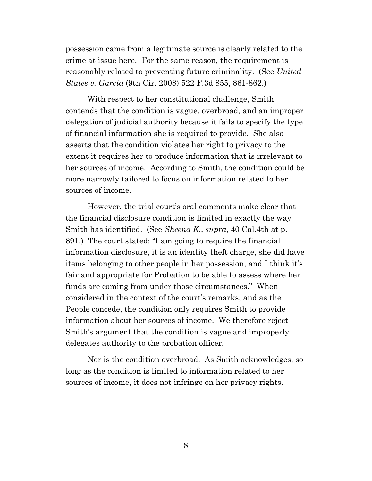possession came from a legitimate source is clearly related to the crime at issue here. For the same reason, the requirement is reasonably related to preventing future criminality. (See *United States v. Garcia* (9th Cir. 2008) 522 F.3d 855, 861-862.)

With respect to her constitutional challenge, Smith contends that the condition is vague, overbroad, and an improper delegation of judicial authority because it fails to specify the type of financial information she is required to provide. She also asserts that the condition violates her right to privacy to the extent it requires her to produce information that is irrelevant to her sources of income. According to Smith, the condition could be more narrowly tailored to focus on information related to her sources of income.

However, the trial court's oral comments make clear that the financial disclosure condition is limited in exactly the way Smith has identified.(See *Sheena K.*, *supra*, 40 Cal.4th at p. 891.) The court stated: "I am going to require the financial information disclosure, it is an identity theft charge, she did have items belonging to other people in her possession, and I think it's fair and appropriate for Probation to be able to assess where her funds are coming from under those circumstances." When considered in the context of the court's remarks, and as the People concede, the condition only requires Smith to provide information about her sources of income. We therefore reject Smith's argument that the condition is vague and improperly delegates authority to the probation officer.

Nor is the condition overbroad. As Smith acknowledges, so long as the condition is limited to information related to her sources of income, it does not infringe on her privacy rights.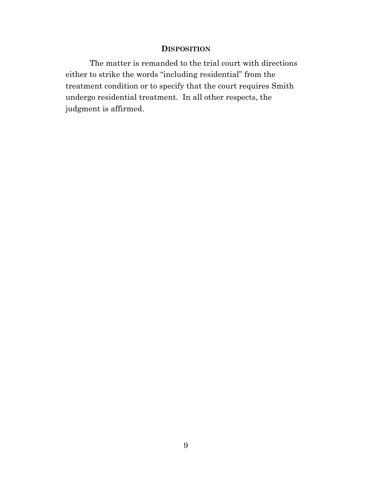## **DISPOSITION**

The matter is remanded to the trial court with directions either to strike the words "including residential" from the treatment condition or to specify that the court requires Smith undergo residential treatment. In all other respects, the judgment is affirmed.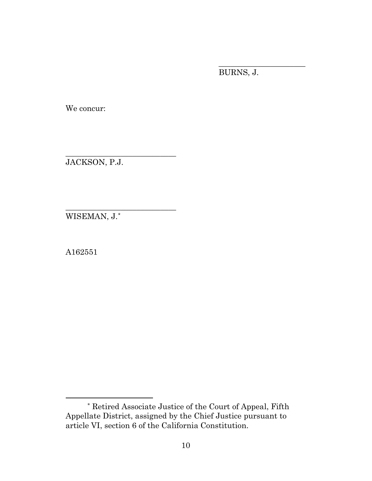BURNS, J.

\_\_\_\_\_\_\_\_\_\_\_\_\_\_\_\_\_\_\_\_\_\_

We concur:

JACKSON, P.J.

\_\_\_\_\_\_\_\_\_\_\_\_\_\_\_\_\_\_\_\_\_\_\_\_\_\_\_\_

\_\_\_\_\_\_\_\_\_\_\_\_\_\_\_\_\_\_\_\_\_\_\_\_\_\_\_\_ WISEMAN, J.[\\*](#page-9-0)

A162551

<span id="page-9-0"></span><sup>\*</sup> Retired Associate Justice of the Court of Appeal, Fifth Appellate District, assigned by the Chief Justice pursuant to article VI, section 6 of the California Constitution.